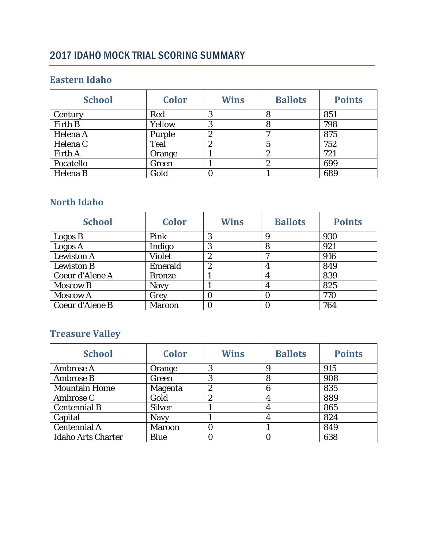# 2017 IDAHO MOCK TRIAL SCORING SUMMARY

#### **Eastern Idaho**

| <b>School</b>  | <b>Color</b> | <b>Wins</b>      | <b>Ballots</b> | <b>Points</b> |
|----------------|--------------|------------------|----------------|---------------|
| Century        | Red          | 0                | 8              | 851           |
| Firth B        | Yellow       | 3                |                | 798           |
| Helena A       | Purple       | $\boldsymbol{2}$ |                | 875           |
| Helena C       | Teal         | $\boldsymbol{2}$ |                | 752           |
| <b>Firth A</b> | Orange       |                  | 9<br>L         | 721           |
| Pocatello      | Green        |                  | L              | 699           |
| Helena B       | Gold         |                  |                | 689           |

### **North Idaho**

| <b>School</b>     | <b>Color</b>  | <b>Wins</b>      | <b>Ballots</b> | <b>Points</b> |
|-------------------|---------------|------------------|----------------|---------------|
| Logos B           | Pink          | 3                | 9              | 930           |
| Logos A           | Indigo        | 3                | 8              | 921           |
| <b>Lewiston A</b> | <b>Violet</b> | $\boldsymbol{2}$ | r,             | 916           |
| <b>Lewiston B</b> | Emerald       | $\overline{2}$   |                | 849           |
| Coeur d'Alene A   | <b>Bronze</b> |                  |                | 839           |
| <b>Moscow B</b>   | <b>Navy</b>   |                  |                | 825           |
| <b>Moscow A</b>   | Grey          | 0                |                | 770           |
| Coeur d'Alene B   | <b>Maroon</b> |                  |                | 764           |

# **Treasure Valley**

| <b>School</b>             | <b>Color</b>  | <b>Wins</b>      | <b>Ballots</b> | <b>Points</b> |
|---------------------------|---------------|------------------|----------------|---------------|
| Ambrose A                 | Orange        | 3                | 9              | 915           |
| <b>Ambrose B</b>          | Green         | 3                | 8              | 908           |
| <b>Mountain Home</b>      | Magenta       | $\boldsymbol{2}$ | 6              | 835           |
| Ambrose C                 | Gold          | $\boldsymbol{2}$ | 4              | 889           |
| <b>Centennial B</b>       | <b>Silver</b> |                  | 4              | 865           |
| Capital                   | <b>Navy</b>   |                  | 4              | 824           |
| <b>Centennial A</b>       | <b>Maroon</b> | 0                |                | 849           |
| <b>Idaho Arts Charter</b> | <b>Blue</b>   |                  |                | 638           |